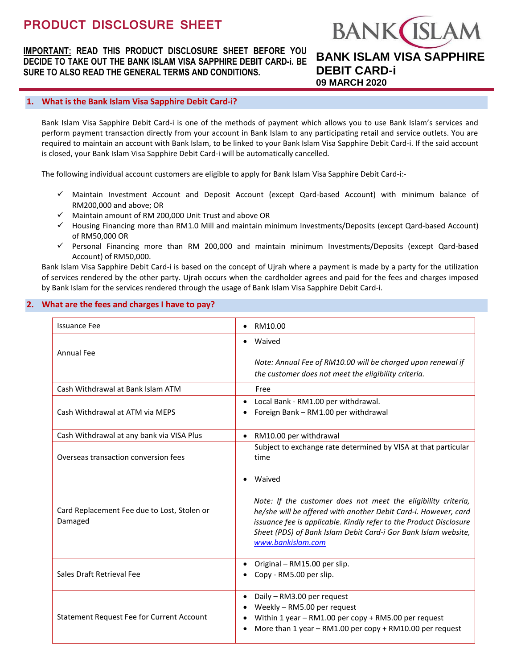# **PRODUCT DISCLOSURE SHEET**

**IMPORTANT: READ THIS PRODUCT DISCLOSURE SHEET BEFORE YOU DECIDE TO TAKE OUT THE BANK ISLAM VISA SAPPHIRE DEBIT CARD-i. BE SURE TO ALSO READ THE GENERAL TERMS AND CONDITIONS.**

# **BANK ISLA BANK ISLAM VISA SAPPHIRE DEBIT CARD-i 09 MARCH 2020**

### **1. What is the Bank Islam Visa Sapphire Debit Card-i?**

Bank Islam Visa Sapphire Debit Card-i is one of the methods of payment which allows you to use Bank Islam's services and perform payment transaction directly from your account in Bank Islam to any participating retail and service outlets. You are required to maintain an account with Bank Islam, to be linked to your Bank Islam Visa Sapphire Debit Card-i. If the said account is closed, your Bank Islam Visa Sapphire Debit Card-i will be automatically cancelled.

The following individual account customers are eligible to apply for Bank Islam Visa Sapphire Debit Card-i:-

- Maintain Investment Account and Deposit Account (except Qard-based Account) with minimum balance of RM200,000 and above; OR
- $\checkmark$  Maintain amount of RM 200,000 Unit Trust and above OR
- $\checkmark$  Housing Financing more than RM1.0 Mill and maintain minimum Investments/Deposits (except Qard-based Account) of RM50,000 OR
- $\checkmark$  Personal Financing more than RM 200,000 and maintain minimum Investments/Deposits (except Qard-based Account) of RM50,000.

Bank Islam Visa Sapphire Debit Card-i is based on the concept of Ujrah where a payment is made by a party for the utilization of services rendered by the other party. Ujrah occurs when the cardholder agrees and paid for the fees and charges imposed by Bank Islam for the services rendered through the usage of Bank Islam Visa Sapphire Debit Card-i.

# **2. What are the fees and charges I have to pay?**

| <b>Issuance Fee</b>                                    | RM10.00                                                                                                                                                                                                                                                                                                 |
|--------------------------------------------------------|---------------------------------------------------------------------------------------------------------------------------------------------------------------------------------------------------------------------------------------------------------------------------------------------------------|
| <b>Annual Fee</b>                                      | Waived<br>Note: Annual Fee of RM10.00 will be charged upon renewal if<br>the customer does not meet the eligibility criteria.                                                                                                                                                                           |
| Cash Withdrawal at Bank Islam ATM                      | Free                                                                                                                                                                                                                                                                                                    |
| Cash Withdrawal at ATM via MEPS                        | Local Bank - RM1.00 per withdrawal.<br>Foreign Bank - RM1.00 per withdrawal                                                                                                                                                                                                                             |
| Cash Withdrawal at any bank via VISA Plus              | RM10.00 per withdrawal<br>$\bullet$                                                                                                                                                                                                                                                                     |
| Overseas transaction conversion fees                   | Subject to exchange rate determined by VISA at that particular<br>time                                                                                                                                                                                                                                  |
| Card Replacement Fee due to Lost, Stolen or<br>Damaged | Waived<br>Note: If the customer does not meet the eligibility criteria,<br>he/she will be offered with another Debit Card-i. However, card<br>issuance fee is applicable. Kindly refer to the Product Disclosure<br>Sheet (PDS) of Bank Islam Debit Card-i Gor Bank Islam website,<br>www.bankislam.com |
| Sales Draft Retrieval Fee                              | Original - RM15.00 per slip.<br>Copy - RM5.00 per slip.                                                                                                                                                                                                                                                 |
| <b>Statement Request Fee for Current Account</b>       | Daily - RM3.00 per request<br>Weekly - RM5.00 per request<br>Within 1 year - RM1.00 per copy + RM5.00 per request<br>More than 1 year - RM1.00 per copy + RM10.00 per request                                                                                                                           |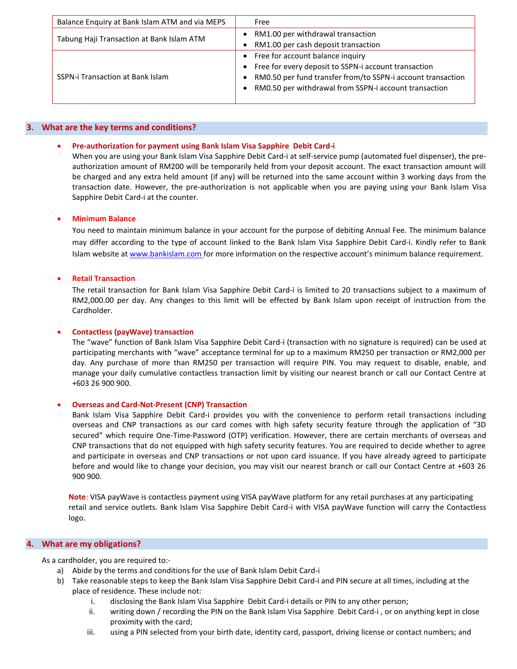| Balance Enquiry at Bank Islam ATM and via MEPS | Free                                                        |
|------------------------------------------------|-------------------------------------------------------------|
| Tabung Haji Transaction at Bank Islam ATM      | RM1.00 per withdrawal transaction                           |
|                                                | RM1.00 per cash deposit transaction                         |
| <b>SSPN-i Transaction at Bank Islam</b>        | • Free for account balance inquiry                          |
|                                                | Free for every deposit to SSPN-i account transaction        |
|                                                | RM0.50 per fund transfer from/to SSPN-i account transaction |
|                                                | RM0.50 per withdrawal from SSPN-i account transaction       |
|                                                |                                                             |

#### **3. What are the key terms and conditions?**

#### **Pre-authorization for payment using Bank Islam Visa Sapphire Debit Card-i**

When you are using your Bank Islam Visa Sapphire Debit Card-i at self-service pump (automated fuel dispenser), the preauthorization amount of RM200 will be temporarily held from your deposit account. The exact transaction amount will be charged and any extra held amount (if any) will be returned into the same account within 3 working days from the transaction date. However, the pre-authorization is not applicable when you are paying using your Bank Islam Visa Sapphire Debit Card-i at the counter.

#### **Minimum Balance**

You need to maintain minimum balance in your account for the purpose of debiting Annual Fee. The minimum balance may differ according to the type of account linked to the Bank Islam Visa Sapphire Debit Card-i. Kindly refer to Bank Islam website at [www.bankislam.com](http://www.bankislam.com/) for more information on the respective account's minimum balance requirement.

#### **Retail Transaction**

The retail transaction for Bank Islam Visa Sapphire Debit Card-i is limited to 20 transactions subject to a maximum of RM2,000.00 per day. Any changes to this limit will be effected by Bank Islam upon receipt of instruction from the Cardholder.

#### **Contactless (payWave) transaction**

The "wave" function of Bank Islam Visa Sapphire Debit Card-i (transaction with no signature is required) can be used at participating merchants with "wave" acceptance terminal for up to a maximum RM250 per transaction or RM2,000 per day. Any purchase of more than RM250 per transaction will require PIN. You may request to disable, enable, and manage your daily cumulative contactless transaction limit by visiting our nearest branch or call our Contact Centre at +603 26 900 900.

#### **Overseas and Card-Not-Present (CNP) Transaction**

Bank Islam Visa Sapphire Debit Card-i provides you with the convenience to perform retail transactions including overseas and CNP transactions as our card comes with high safety security feature through the application of "3D secured" which require One-Time-Password (OTP) verification. However, there are certain merchants of overseas and CNP transactions that do not equipped with high safety security features. You are required to decide whether to agree and participate in overseas and CNP transactions or not upon card issuance. If you have already agreed to participate before and would like to change your decision, you may visit our nearest branch or call our Contact Centre at +603 26 900 900.

**Note**: VISA payWave is contactless payment using VISA payWave platform for any retail purchases at any participating retail and service outlets. Bank Islam Visa Sapphire Debit Card-i with VISA payWave function will carry the Contactless logo.

# **4. What are my obligations?**

As a cardholder, you are required to:-

- a) Abide by the terms and conditions for the use of Bank Islam Debit Card-i
- b) Take reasonable steps to keep the Bank Islam Visa Sapphire Debit Card-i and PIN secure at all times, including at the place of residence. These include not:
	- i. disclosing the Bank Islam Visa Sapphire Debit Card-i details or PIN to any other person;
	- ii. writing down / recording the PIN on the Bank Islam Visa Sapphire Debit Card-i , or on anything kept in close proximity with the card;
	- iii. using a PIN selected from your birth date, identity card, passport, driving license or contact numbers; and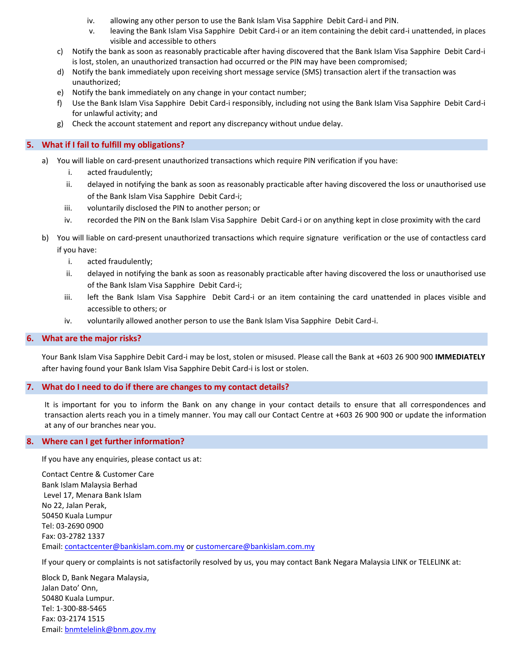- iv. allowing any other person to use the Bank Islam Visa Sapphire Debit Card-i and PIN.
- v. leaving the Bank Islam Visa Sapphire Debit Card-i or an item containing the debit card-i unattended, in places visible and accessible to others
- c) Notify the bank as soon as reasonably practicable after having discovered that the Bank Islam Visa Sapphire Debit Card-i is lost, stolen, an unauthorized transaction had occurred or the PIN may have been compromised;
- d) Notify the bank immediately upon receiving short message service (SMS) transaction alert if the transaction was unauthorized;
- e) Notify the bank immediately on any change in your contact number;
- f) Use the Bank Islam Visa Sapphire Debit Card-i responsibly, including not using the Bank Islam Visa Sapphire Debit Card-i for unlawful activity; and
- g) Check the account statement and report any discrepancy without undue delay.

# **5. What if I fail to fulfill my obligations?**

- a) You will liable on card-present unauthorized transactions which require PIN verification if you have:
	- i. acted fraudulently;
	- ii. delayed in notifying the bank as soon as reasonably practicable after having discovered the loss or unauthorised use of the Bank Islam Visa Sapphire Debit Card-i;
	- iii. voluntarily disclosed the PIN to another person; or
	- iv. recorded the PIN on the Bank Islam Visa Sapphire Debit Card-i or on anything kept in close proximity with the card
- b) You will liable on card-present unauthorized transactions which require signature verification or the use of contactless card if you have:
	- i. acted fraudulently;
	- ii. delayed in notifying the bank as soon as reasonably practicable after having discovered the loss or unauthorised use of the Bank Islam Visa Sapphire Debit Card-i;
	- iii. left the Bank Islam Visa Sapphire Debit Card-i or an item containing the card unattended in places visible and accessible to others; or
	- iv. voluntarily allowed another person to use the Bank Islam Visa Sapphire Debit Card-i.

### **6. What are the major risks?**

Your Bank Islam Visa Sapphire Debit Card-i may be lost, stolen or misused. Please call the Bank at +603 26 900 900 **IMMEDIATELY**  after having found your Bank Islam Visa Sapphire Debit Card-i is lost or stolen.

# **7. What do I need to do if there are changes to my contact details?**

It is important for you to inform the Bank on any change in your contact details to ensure that all correspondences and transaction alerts reach you in a timely manner. You may call our Contact Centre at +603 26 900 900 or update the information at any of our branches near you.

# **8. Where can I get further information?**

If you have any enquiries, please contact us at:

Contact Centre & Customer Care Bank Islam Malaysia Berhad Level 17, Menara Bank Islam No 22, Jalan Perak, 50450 Kuala Lumpur Tel: 03-2690 0900 Fax: 03-2782 1337 Email[: contactcenter@bankislam.com.my](mailto:contactcenter@bankislam.com.my) or [customercare@bankislam.com.my](mailto:customercare@bankislam.com.my)

If your query or complaints is not satisfactorily resolved by us, you may contact Bank Negara Malaysia LINK or TELELINK at:

Block D, Bank Negara Malaysia, Jalan Dato' Onn, 50480 Kuala Lumpur. Tel: 1-300-88-5465 Fax: 03-2174 1515 Email[: bnmtelelink@bnm.gov.my](mailto:bnmtelelink@bnm.gov.my)